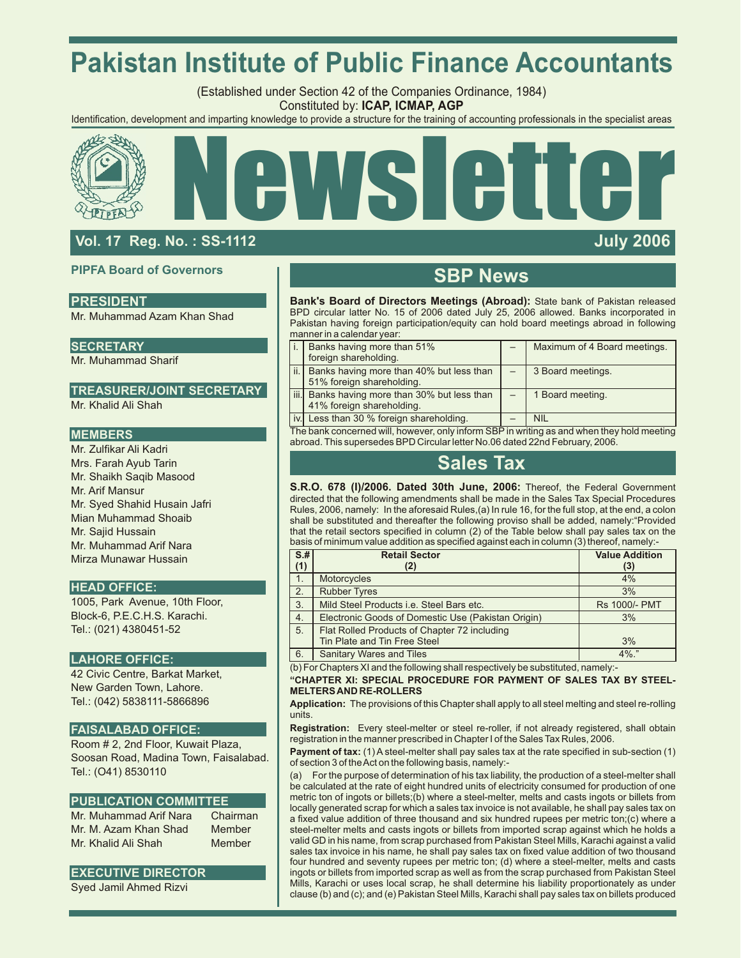# **Pakistan Institute of Public Finance Accountants**

(Established under Section 42 of the Companies Ordinance, 1984) Constituted by: **ICAP, ICMAP, AGP**

Identification, development and imparting knowledge to provide a structure for the training of accounting professionals in the specialist areas





# **Vol. 17 Reg. No. : SS-1112 July 2006**

# **PIPFA Board of Governors**

# **PRESIDENT**

Mr. Muhammad Azam Khan Shad

### **SECRETARY**

Mr. Muhammad Sharif

## **TREASURER/JOINT SECRETARY**

Mr. Khalid Ali Shah

## **MEMBERS**

Mr. Zulfikar Ali Kadri Mrs. Farah Ayub Tarin Mr. Shaikh Saqib Masood Mr. Arif Mansur Mr. Syed Shahid Husain Jafri Mian Muhammad Shoaib Mr. Sajid Hussain Mr. Muhammad Arif Nara Mirza Munawar Hussain

### **HEAD OFFICE:**

1005, Park Avenue, 10th Floor, Block-6, P.E.C.H.S. Karachi. Tel.: (021) 4380451-52

### **LAHORE OFFICE:**

42 Civic Centre, Barkat Market, New Garden Town, Lahore. Tel.: (042) 5838111-5866896

# **FAISALABAD OFFICE:**

Room # 2, 2nd Floor, Kuwait Plaza, Soosan Road, Madina Town, Faisalabad. Tel.: (O41) 8530110

### **PUBLICATION COMMITTEE**

Mr. Muhammad Arif Nara Chairman Mr. M. Azam Khan Shad Member Mr. Khalid Ali Shah Member

# **EXECUTIVE DIRECTOR**

Syed Jamil Ahmed Rizvi

# **SBP News**

**Bank's Board of Directors Meetings (Abroad):** State bank of Pakistan released BPD circular latter No. 15 of 2006 dated July 25, 2006 allowed. Banks incorporated in Pakistan having foreign participation/equity can hold board meetings abroad in following manner in a calendar year:

| Banks having more than 51%<br>foreign shareholding.                         | Maximum of 4 Board meetings. |
|-----------------------------------------------------------------------------|------------------------------|
| ii.   Banks having more than 40% but less than<br>51% foreign shareholding. | 3 Board meetings.            |
| iii. Banks having more than 30% but less than<br>41% foreign shareholding.  | 1 Board meeting.             |
| iv. Less than 30 % foreign shareholding.                                    | <b>NIL</b>                   |

The bank concerned will, however, only inform SBP in writing as and when they hold meeting abroad. This supersedes BPD Circular letter No.06 dated 22nd February, 2006.

# **Sales Tax**

**S.R.O. 678 (I)/2006. Dated 30th June, 2006:** Thereof, the Federal Government directed that the following amendments shall be made in the Sales Tax Special Procedures Rules, 2006, namely: In the aforesaid Rules,(a) In rule 16, for the full stop, at the end, a colon shall be substituted and thereafter the following proviso shall be added, namely:"Provided that the retail sectors specified in column (2) of the Table below shall pay sales tax on the basis of minimum value addition as specified against each in column (3) thereof, namely:-

| $S+$ | <b>Retail Sector</b>                               | <b>Value Addition</b> |
|------|----------------------------------------------------|-----------------------|
| (1)  | (2)                                                | (3)                   |
| 1.   | <b>Motorcycles</b>                                 | 4%                    |
| 2.   | <b>Rubber Tyres</b>                                | 3%                    |
| 3.   | Mild Steel Products i.e. Steel Bars etc.           | <b>Rs 1000/- PMT</b>  |
| 4.   | Electronic Goods of Domestic Use (Pakistan Origin) | 3%                    |
| 5.   | Flat Rolled Products of Chapter 72 including       |                       |
|      | Tin Plate and Tin Free Steel                       | 3%                    |
| 6.   | <b>Sanitary Wares and Tiles</b>                    | $4\%$ ."              |

(b) For Chapters XI and the following shall respectively be substituted, namely:-

#### **"CHAPTER XI: SPECIAL PROCEDURE FOR PAYMENT OF SALES TAX BY STEEL-MELTERS AND RE-ROLLERS**

**Application:** The provisions of this Chapter shall apply to all steel melting and steel re-rolling units.

**Registration:** Every steel-melter or steel re-roller, if not already registered, shall obtain registration in the manner prescribed in Chapter I of the Sales Tax Rules, 2006.

**Payment of tax:** (1) A steel-melter shall pay sales tax at the rate specified in sub-section (1) of section 3 of the Act on the following basis, namely:-

(a) For the purpose of determination of his tax liability, the production of a steel-melter shall be calculated at the rate of eight hundred units of electricity consumed for production of one metric ton of ingots or billets;(b) where a steel-melter, melts and casts ingots or billets from locally generated scrap for which a sales tax invoice is not available, he shall pay sales tax on a fixed value addition of three thousand and six hundred rupees per metric ton;(c) where a steel-melter melts and casts ingots or billets from imported scrap against which he holds a valid GD in his name, from scrap purchased from Pakistan Steel Mills, Karachi against a valid sales tax invoice in his name, he shall pay sales tax on fixed value addition of two thousand four hundred and seventy rupees per metric ton; (d) where a steel-melter, melts and casts ingots or billets from imported scrap as well as from the scrap purchased from Pakistan Steel Mills, Karachi or uses local scrap, he shall determine his liability proportionately as under clause (b) and (c); and (e) Pakistan Steel Mills, Karachi shall pay sales tax on billets produced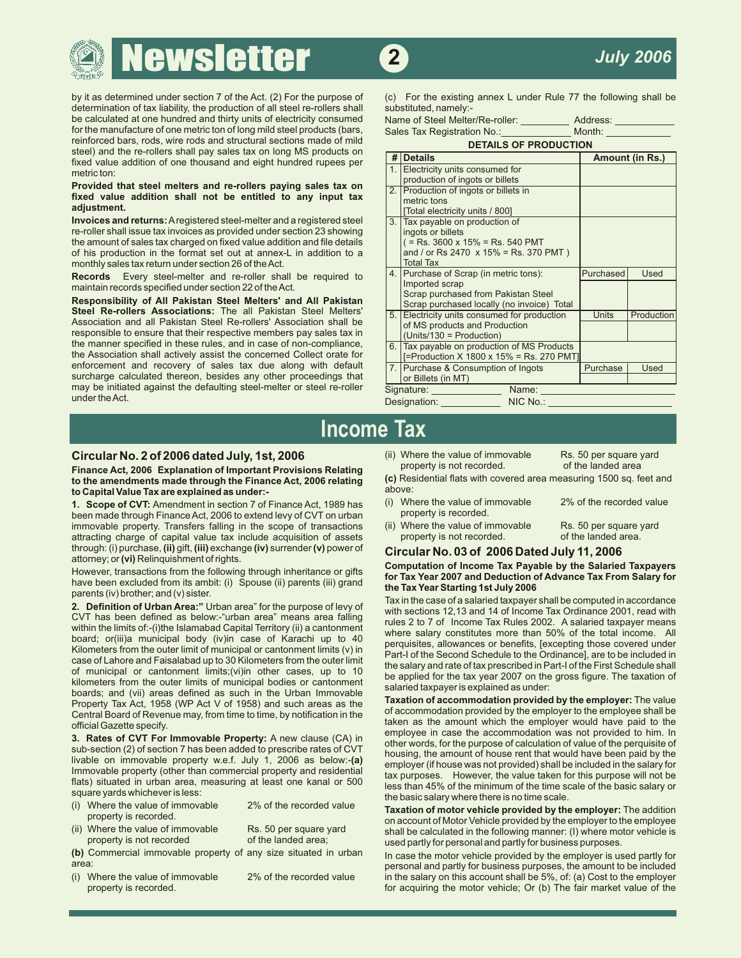# **ewsletter 2**

by it as determined under section 7 of the Act. (2) For the purpose of (c) For the existing annex L under Rule 77 the following shall be determination of tax liability, the production of all steel re-rollers shall substitu determination of tax liability, the production of all steel re-rollers shall be calculated at one hundred and thirty units of electricity consumed for the manufacture of one metric ton of long mild steel products (bars, reinforced bars, rods, wire rods and structural sections made of mild steel) and the re-rollers shall pay sales tax on long MS products on<br>fixed value addition of one thousand and eight hundred rupees per

# metricton:<br>Provided that steel melters and re-rollers paying sales tax on<br>fixed value addition shall not be entitled to any input tax<br>adjustment.

| Name of Steel Melter/Re-roller: | Address: |
|---------------------------------|----------|
| Sales Tax Registration No.:     | Month:   |

| rcimorcea baro, roao, wire roao and otractarar occilono maac or mila<br>steel) and the re-rollers shall pay sales tax on long MS products on                                                                                                                                                                                                                                                                              | <b>DETAILS OF PRODUCTION</b> |                                                                                                                                                                                               |                           |                           |  |  |
|---------------------------------------------------------------------------------------------------------------------------------------------------------------------------------------------------------------------------------------------------------------------------------------------------------------------------------------------------------------------------------------------------------------------------|------------------------------|-----------------------------------------------------------------------------------------------------------------------------------------------------------------------------------------------|---------------------------|---------------------------|--|--|
| fixed value addition of one thousand and eight hundred rupees per                                                                                                                                                                                                                                                                                                                                                         |                              | # Details                                                                                                                                                                                     | <b>Amount (in Rs.)</b>    |                           |  |  |
| metric ton:                                                                                                                                                                                                                                                                                                                                                                                                               |                              | 1. Electricity units consumed for<br>production of ingots or billets                                                                                                                          |                           |                           |  |  |
| Provided that steel melters and re-rollers paying sales tax on<br>fixed value addition shall not be entitled to any input tax<br>adjustment.                                                                                                                                                                                                                                                                              |                              | 2. Production of ingots or billets in<br>metric tons<br>[Total electricity units / 800]                                                                                                       |                           |                           |  |  |
| <b>Invoices and returns:</b> A registered steel-melter and a registered steel<br>re-roller shall issue tax invoices as provided under section 23 showing<br>the amount of sales tax charged on fixed value addition and file details<br>of his production in the format set out at annex-L in addition to a<br>monthly sales tax return under section 26 of the Act.                                                      |                              | 3. Tax payable on production of<br>ingots or billets<br>$($ = Rs. 3600 x 15% = Rs. 540 PMT<br>and / or Rs 2470 $\times$ 15% = Rs. 370 PMT)<br><b>Total Tax</b>                                |                           |                           |  |  |
| <b>Records</b> Every steel-melter and re-roller shall be required to<br>maintain records specified under section 22 of the Act.<br>Responsibility of All Pakistan Steel Melters' and All Pakistan<br><b>Steel Re-rollers Associations:</b> The all Pakistan Steel Melters'<br>Association and all Pakistan Steel Re-rollers' Association shall be<br>responsible to ensure that their respective members pay sales tax in |                              | 4. Purchase of Scrap (in metric tons):<br>Imported scrap<br>Scrap purchased from Pakistan Steel<br>Scrap purchased locally (no invoice) Total<br>5. Electricity units consumed for production | Purchased<br><b>Units</b> | <b>Used</b><br>Production |  |  |
|                                                                                                                                                                                                                                                                                                                                                                                                                           |                              | of MS products and Production<br>$(Units/130 = Production)$                                                                                                                                   |                           |                           |  |  |
| the manner specified in these rules, and in case of non-compliance,<br>the Association shall actively assist the concerned Collect orate for                                                                                                                                                                                                                                                                              |                              | 6. Tax payable on production of MS Products<br>[=Production X 1800 x 15% = Rs. 270 PMT]                                                                                                       |                           |                           |  |  |
| enforcement and recovery of sales tax due along with default<br>surcharge calculated thereon, besides any other proceedings that                                                                                                                                                                                                                                                                                          |                              | 7. Purchase & Consumption of Ingots<br>or Billets (in MT)                                                                                                                                     | Purchase                  | <b>Used</b>               |  |  |
| may be initiated against the defaulting steel-melter or steel re-roller                                                                                                                                                                                                                                                                                                                                                   |                              | Signature:<br>Name:                                                                                                                                                                           |                           |                           |  |  |
| under the Act.                                                                                                                                                                                                                                                                                                                                                                                                            |                              | NIC No.:<br>Designation:                                                                                                                                                                      |                           |                           |  |  |
|                                                                                                                                                                                                                                                                                                                                                                                                                           |                              |                                                                                                                                                                                               |                           |                           |  |  |

# **Income Tax**

**Finance Act, 2006 Explanation of Important Provisions Relating** property is not recorded. of the landed area **Finance Act, 2006 Explanation of Important Provisions Relating** property is not recorded. of the landed area **F to the amendments made through the Finance Act, 2006 relating (C) Rest and the Finance Act, 2006 relating (C)** Res<br>**to Copital Value Tox are explained as under: to Capital Value Tax are explained as under:-**<br>**1. Scope of CVT:** Amendment in section 7 of Finance Act. 1989 has (i) Where the value of immovable

1. **Scope of CVT:** Amendment in section 7 of Finance Act, 1989 has (i) Where the value of in<br>been made through Finance Act, 2006 to extend levy of CVT on urban property is recorded. been made through Finance Act, 2006 to extend levy of CVT on urban extended of property is recorded.<br>immovable property, Transfers falling in the scope of transactions (ii) Where the value of immovable immovable property. Transfers falling in the scope of transactions (ii) Where the value of immo<br>attracting charge of capital value tax include acquisition of assets strateger of property is not recorded. attracting charge of capital value tax include acquisition of assets property is not recorded. of the landed area.

through: (i) purchase, (ii) gift, (iii) exchange (iv) surrender (v) power of<br>attorney; or (vi) Relinquishment of rights.<br>However, transactions from the following through inheritance or gifts<br>have been excluded from its amb

- 
- Rs. 50 per square yard

2% of the recorded value

2% of the recorded value

- property is not recorded of the landed area;<br>In case the motor vehicle provided by the employer is used by Commercial immovable property of any size situated in urban
- 

**Circular No. 2 of 2006 dated July, 1st, 2006** (ii) Where the value of immovable<br>**Finance Act, 2006** Explanation of Important Provisions Relating property is not recorded. Rs. 50 per square yard

- 
- 
- Rs. 50 per square yard

2% of the recorded value

2. **Definition of Urban Area:**" Urban area" for the purpose of levy of<br>2. **Definition of Urban Area:**" Urban area" for the purpose of levy of<br>CVT has been defined as below:-"urban area" means area falling<br>with sections 12,

case of Lahore and Faisalabad up to 30 Kilometers from the outer limit<br>
of municipal of catomyneal or canoniment limits;(vi)in other cases, up to 10<br>
kilometers from the outer limits of municipal bodies or canoniment<br>
kilo steaded in the basic salary or<br>square yards whichever is less:<br>(i) Where the value of immovable 2% of the recorded value<br> $\frac{1}{2}$  and the basic salary where there is no time scale.

(i) where the value of immovable and the recorded value<br>property is recorded.<br>(ii) Where the value of immovable and the selection of Motor Vehicle provided by the employer to the employee<br>shall be calculated in the followi Where the value of immovable ks. 50 per square yard shall be calculated in the following manner: (I) where motor vehicle is property is not recorded  $\sim$  of the landed area;

**(b)** Commercial immovable property of any size situated in urban In case the motor vehicle provided by the employer is used partly for area:<br>i) Where the value of immovable and the recorded value and partly for business purposes, the amount to be included<br>i) Where the value of immovable and 2% of the recorded value and the salary on this account shall be Where the value of immovable 2% of the recorded value in the salary on this account shall be 5%, of: (a) Cost to the employer<br>for acquiring the motor vehicle; Or (b) The fair market value of the for acquiring the motor vehicle; Or (b) The fair market value of the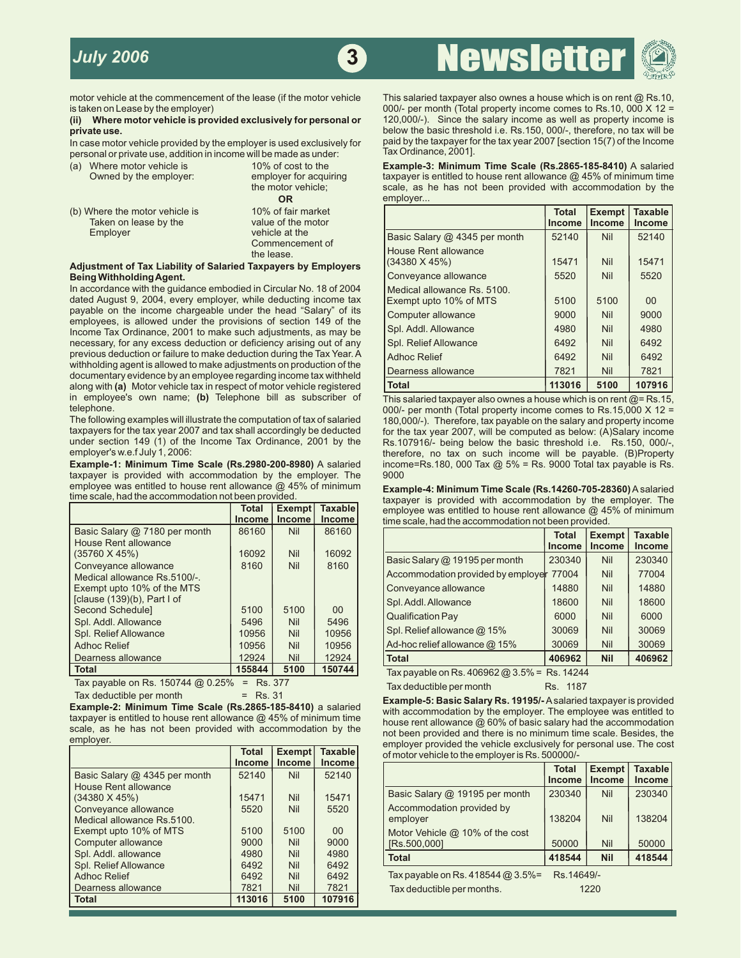**3** Newslette



# (ii) Where motor vehicle is provided exclusively for personal or private use.

personal or private use, addition in income will be made as under:

| Where motor vehicle is<br>(a)<br>Owned by the employer: | 10% of cost to the<br>employer for acquiring |
|---------------------------------------------------------|----------------------------------------------|
|                                                         | the motor vehicle;                           |
|                                                         | <b>OR</b>                                    |
| (b) Where the motor vehicle is                          | 10% of fair market                           |
| Taken on lease by the                                   | value of the motor                           |
| Employer                                                | vehicle at the                               |
|                                                         | Commencement of                              |
|                                                         | the lease.                                   |

#### Adjustment of Tax Liability of Salaried Taxpayers by Employers **Being Withholding Agent.**

In accordance with the guidance embodied in Circular No. 18 of 2004 dated August 9, 2004, every employer, while deducting income tax payable on the income chargeable under the head "Salary" of its employees, is allowed under the provisions of section 149 of the Income Tax Ordinance, 2001 to make such adjustments, as may be necessary, for any excess deduction or deficiency arising out of any previous deduction or failure to make deduction during the Tax Year. A withholding agent is allowed to make adjustments on production of the documentary evidence by an employee regarding income tax withheld **along with (a) Motor vehicle tax in respect of motor vehicle registered** in employee's own name; **(b)** Telephone bill as subscriber of This salaried taxpayer also ownes a house which is on rent @= Rs.15,

The following examples will illustrate the computation of tax of salaried 180,000/-). Therefore, tax payable on the salary and property income taxpayers for the tax year 2007 and tax shall accordingly be deducted for the t taxpayers for the tax year 2007 and tax shall accordingly be deducted for the tax year 2007, will be computed as below: (A)Salary income under section 149 (1) of the Income Tax Ordinance, 2001 by the Rs.107916/- being belo under section 149 (1) of the Income Tax Ordinance, 2001 by the Rs.107916/- being below the basic threshold i.e. Rs.150, 000/-,<br>employer's w.e.f July 1, 2006: the Tax Ordinance, 2001 by the therefore, no tax on such income

taxpayer is provided with accommodation by the employer. The 9000 employee was entitled to house rent allowance  $@$  45% of minimum

|                                | <b>Total</b> | Exempt        | <b>Taxable</b> | employee was entitled to house rent allowance $@$ 45% of minimul |              |               |                |  |
|--------------------------------|--------------|---------------|----------------|------------------------------------------------------------------|--------------|---------------|----------------|--|
|                                | Income       | <b>Income</b> | <b>Income</b>  | time scale, had the accommodation not been provided.             |              |               |                |  |
| Basic Salary @ 7180 per month  | 86160        | <b>Nil</b>    | 86160          |                                                                  | <b>Total</b> | <b>Exempt</b> | <b>Taxable</b> |  |
| House Rent allowance           |              |               |                |                                                                  | Income       | <b>Income</b> | <b>Income</b>  |  |
| $(35760 \times 45%)$           | 16092        | <b>Nil</b>    | 16092          | Basic Salary @ 19195 per month                                   | 230340       | <b>Nil</b>    | 230340         |  |
| Conveyance allowance           | 8160         | <b>Nil</b>    | 8160           |                                                                  |              |               |                |  |
| Medical allowance Rs.5100/-.   |              |               |                | Accommodation provided by employer                               | 77004        | <b>Nil</b>    | 77004          |  |
| Exempt upto 10% of the MTS     |              |               |                | Conveyance allowance                                             | 14880        | <b>Nil</b>    | 14880          |  |
| [clause $(139)(b)$ , Part I of |              |               |                | Spl. Addl. Allowance                                             | 18600        | <b>Nil</b>    | 18600          |  |
| Second Schedule]               | 5100         | 5100          | 00             |                                                                  |              |               |                |  |
| Spl. Addl. Allowance           | 5496         | <b>Nil</b>    | 5496           | <b>Qualification Pay</b>                                         | 6000         | <b>Nil</b>    | 6000           |  |
| Spl. Relief Allowance          | 10956        | <b>Nil</b>    | 10956          | Spl. Relief allowance @ 15%                                      | 30069        | Nil           | 30069          |  |
| <b>Adhoc Relief</b>            | 10956        | <b>Nil</b>    | 10956          | Ad-hoc relief allowance $@$ 15%                                  | 30069        | Nil           | 30069          |  |
| Dearness allowance             | 12924        | <b>Nil</b>    | 12924          | <b>Total</b>                                                     | 406962       | <b>Nil</b>    | 406962         |  |
| <b>Total</b>                   | 155844       | 5100          | 150744         | Tax pavable on Rs. 406962 @ 3.5% = Rs. 14244                     |              |               |                |  |

Tax payable on Rs. 150744  $\times$  0.25% = Rs. 377 Tax deductible per month Rs. 1187 Tax deductible per month Rs. 1187

|                                                    | <b>Total</b>           | <b>Exempt</b>               | Taxable                | and the fact that we can be also allowed the fact and allowed the so-<br>of motor vehicle to the employer is Rs. 500000/- |                                 |  |
|----------------------------------------------------|------------------------|-----------------------------|------------------------|---------------------------------------------------------------------------------------------------------------------------|---------------------------------|--|
| Basic Salary @ 4345 per month                      | <b>Income</b><br>52140 | <b>Income</b><br><b>Nil</b> | <b>Income</b><br>52140 | <b>Exempt</b><br><b>Total</b><br><b>Income</b><br><b>Income</b>                                                           | <b>Taxable</b><br><b>Income</b> |  |
| House Rent allowance<br>$(34380 \times 45\%)$      | 15471                  | <b>Nil</b>                  | 15471                  | 230340<br><b>Nil</b><br>Basic Salary @ 19195 per month                                                                    | 230340                          |  |
| Conveyance allowance<br>Medical allowance Rs.5100. | 5520                   | <b>Nil</b>                  | 5520                   | Accommodation provided by<br>138204<br><b>Nil</b><br>employer                                                             | 138204                          |  |
| Exempt upto 10% of MTS                             | 5100                   | 5100                        | $00\,$                 | Motor Vehicle $@$ 10% of the cost                                                                                         |                                 |  |
| Computer allowance                                 | 9000                   | <b>Nil</b>                  | 9000                   | 50000<br>Nil<br>[Rs.500,000]                                                                                              | 50000                           |  |
| Spl. Addl. allowance                               | 4980                   | <b>Nil</b>                  | 4980                   | <b>Nil</b><br>418544<br><b>Total</b>                                                                                      | 418544                          |  |
| Spl. Relief Allowance                              | 6492                   | <b>Nil</b>                  | 6492                   |                                                                                                                           |                                 |  |
| <b>Adhoc Relief</b>                                | 6492                   | <b>Nil</b>                  | 6492                   | Tax payable on Rs. 418544 @ 3.5%=<br>Rs. 14649/-                                                                          |                                 |  |
| Dearness allowance                                 | 7821                   | <b>Nil</b>                  | 7821                   | Tax deductible per months.<br>1220                                                                                        |                                 |  |
| <b>Total</b>                                       | 113016                 | 5100                        | 107916                 |                                                                                                                           |                                 |  |

motor vehicle at the commencement of the lease (if the motor vehicle This salaried taxpayer also ownes a house which is on rent @ Rs.10,<br>= 000/ per month (Total property income comes to Rs.10, 000 X 12 000/- per month (Total property income comes to Rs.10, 000 X 12 = 120,000/-). Since the salary income as well as property income is below the basic threshold i.e. Rs.150, 000/-, therefore, no tax will be In case motor vehicle provided by the employer is used exclusively for paid by the taxpayer for the tax year 2007 [section 15(7) of the Income Dersonal or private use, addition in income will be made as under: Tax Ordinanc

> **Example-3: Minimum Time Scale (Rs.2865-185-8410)** A salaried taxpayer is entitled to house rent allowance  $@$  45% of minimum time scale, as he has not been provided with accommodation by the employer...

| Where the motor vehicle is<br>Taken on lease by the                                                                               | 10% of fair market<br>value of the motor |                                                       | <b>Total</b><br><b>Income</b> | <b>Exempt</b><br><b>Income</b> | <b>Taxable</b><br><b>Income</b> |
|-----------------------------------------------------------------------------------------------------------------------------------|------------------------------------------|-------------------------------------------------------|-------------------------------|--------------------------------|---------------------------------|
| Employer                                                                                                                          | vehicle at the                           | Basic Salary @ 4345 per month                         | 52140                         | <b>Nil</b>                     | 52140                           |
| <b>Istment of Tax Liability of Salaried Taxpayers by Employers</b>                                                                | Commencement of<br>the lease.            | <b>House Rent allowance</b><br>(34380 X 45%)          | 15471                         | Nil                            | 15471                           |
| g Withholding Agent.                                                                                                              |                                          | Conveyance allowance                                  | 5520                          | Nil                            | 5520                            |
| cordance with the quidance embodied in Circular No. 18 of 2004<br>d August 9, 2004, every employer, while deducting income tax    |                                          | Medical allowance Rs. 5100.<br>Exempt upto 10% of MTS | 5100                          | 5100                           | 00 <sup>°</sup>                 |
| ble on the income chargeable under the head "Salary" of its                                                                       |                                          | Computer allowance                                    | 9000                          | Nil                            | 9000                            |
| loyees, is allowed under the provisions of section 149 of the<br>me Tax Ordinance, 2001 to make such adjustments, as may be       |                                          | Spl. Addl. Allowance                                  | 4980                          | <b>Nil</b>                     | 4980                            |
| ssary, for any excess deduction or deficiency arising out of any                                                                  |                                          | <b>Spl. Relief Allowance</b>                          | 6492                          | Nil                            | 6492                            |
| ious deduction or failure to make deduction during the Tax Year. A                                                                |                                          | <b>Adhoc Relief</b>                                   | 6492                          | Nil                            | 6492                            |
| olding agent is allowed to make adjustments on production of the<br>mentary evidence by an employee regarding income tax withheld |                                          | Dearness allowance                                    | 7821                          | Nil                            | 7821                            |
| r with (a) Motor vehicle tax in respect of motor vehicle registered                                                               |                                          | <b>Total</b>                                          | 113016                        | 5100                           | 107916                          |

000/- per month (Total property income comes to Rs.15,000 X 12 = employer's w.e.f July 1, 2006: therefore, no tax on such income will be payable. (B)Property<br>Example-1: Minimum Time Scale (Rs.2980-200-8980) A salaried income=Rs.180, 000 Tax @ 5% = Rs. 9000 Total tax payable is Rs. **income=Rs.180, 000 Tax @ 5% = Rs. 9000 Total tax payable is Rs.** 

employee was entitled to house rent allowance @ 45% of minimum **Example-4: Minimum Time Scale (Rs.14260-705-28360)**Asalaried taxpayer is provided with accommodation by the employer. The **EXEMPT EMPLOYEE was entitled to house rent allowance @ 45% of minimum** time scale, had the accommodation not been provided.

|                                                              | <b>Total</b><br><b>Income</b> | <b>Exempt</b><br><b>Income</b> | <b>Taxable</b><br><b>Income</b> |
|--------------------------------------------------------------|-------------------------------|--------------------------------|---------------------------------|
| Basic Salary @ 19195 per month                               | 230340                        | Nil                            | 230340                          |
| Accommodation provided by employer 77004                     |                               | Nil                            | 77004                           |
| Conveyance allowance                                         | 14880                         | Nil                            | 14880                           |
| Spl. Addl. Allowance                                         | 18600                         | Nil                            | 18600                           |
| <b>Qualification Pay</b>                                     | 6000                          | Nil                            | 6000                            |
| Spl. Relief allowance @ 15%                                  | 30069                         | Nil                            | 30069                           |
| Ad-hoc relief allowance @ 15%                                | 30069                         | Nil                            | 30069                           |
| <b>Total</b>                                                 | 406962                        | <b>Nil</b>                     | 406962                          |
| $Tay$ payable on Bs, $A \cap B$ $B2$ and $B9/2$ = Bs, $A121$ |                               |                                |                                 |

**Total 155844 5100 150744** Tax payable on Rs. 406962 @ 3.5% = Rs. 14244

Example-2: Minimum Time Scale (Rs.2865-185-8410) a salaried<br>Example-5: Basic Salary Rs. 19195/-A salaried taxpayer is provided<br>taxpayer is provided with accommodation by the employer. The employee was entitled to<br>scale, a employer provided the vehicle exclusively for personal use. The cost of motor vehicle to the employer is Rs. 500000/-

|                               |               | Income l |                |                                 |               |               |                |
|-------------------------------|---------------|----------|----------------|---------------------------------|---------------|---------------|----------------|
|                               | <b>Income</b> |          | <b>Income</b>  |                                 | <b>Total</b>  | Exempt        | <b>Taxable</b> |
| Basic Salary @ 4345 per month | 52140         | Nil      | 52140          |                                 |               |               |                |
| <b>House Rent allowance</b>   |               |          |                |                                 | <b>Income</b> | <b>Income</b> | <b>Income</b>  |
|                               |               |          |                | Basic Salary @ 19195 per month  | 230340        | <b>Nil</b>    | 230340         |
| (34380 X 45%)                 | 15471         | Nil      | 15471          |                                 |               |               |                |
| Conveyance allowance          | 5520          | Nil      | 5520           | Accommodation provided by       |               |               |                |
| Medical allowance Rs.5100.    |               |          |                | employer                        | 138204        | Nil           | 138204         |
| Exempt upto 10% of MTS        | 5100          | 5100     | 0 <sup>0</sup> | Motor Vehicle @ 10% of the cost |               |               |                |
| Computer allowance            | 9000          | Nil      | 9000           | [Rs.500,000]                    | 50000         | Nil           | 50000          |
| Spl. Addl. allowance          | 4980          | Nil      | 4980           | <b>Total</b>                    | 418544        | <b>Nil</b>    | 418544         |
| <b>Spl. Relief Allowance</b>  | 6492          | Nil      | 6492           |                                 |               |               |                |
|                               |               |          |                |                                 |               |               |                |